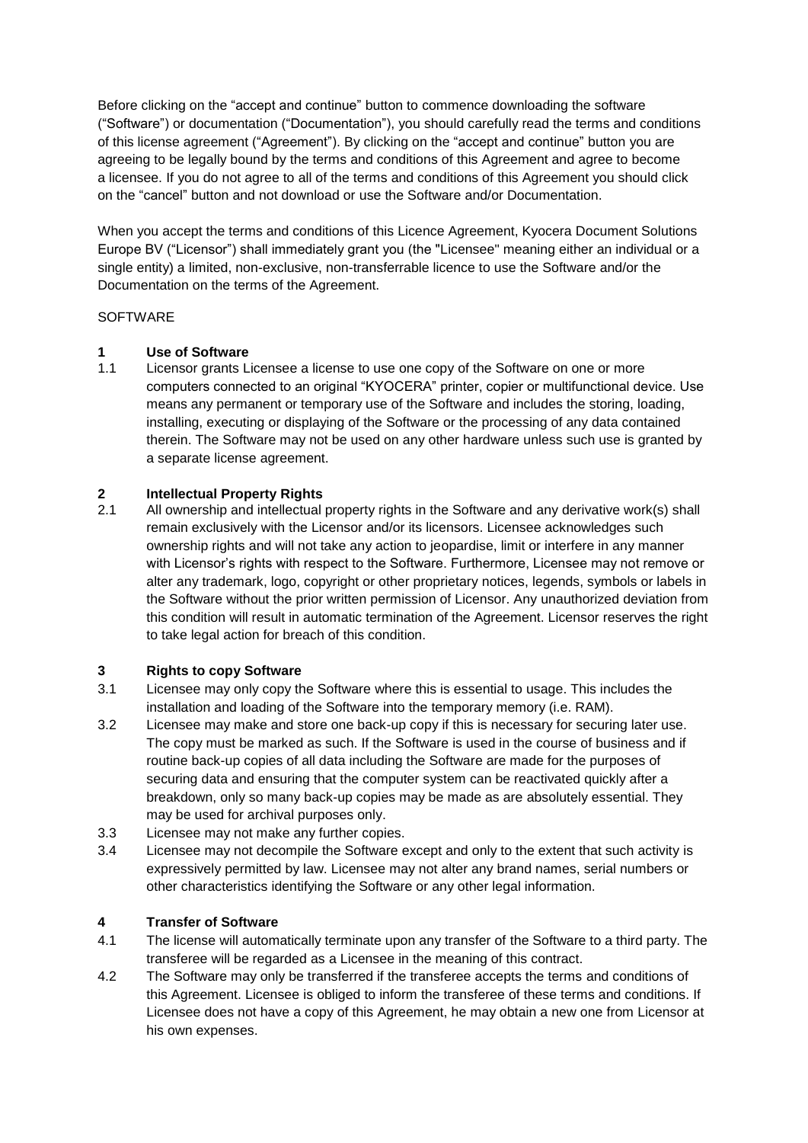Before clicking on the "accept and continue" button to commence downloading the software ("Software") or documentation ("Documentation"), you should carefully read the terms and conditions of this license agreement ("Agreement"). By clicking on the "accept and continue" button you are agreeing to be legally bound by the terms and conditions of this Agreement and agree to become a licensee. If you do not agree to all of the terms and conditions of this Agreement you should click on the "cancel" button and not download or use the Software and/or Documentation.

When you accept the terms and conditions of this Licence Agreement, Kyocera Document Solutions Europe BV ("Licensor") shall immediately grant you (the "Licensee" meaning either an individual or a single entity) a limited, non-exclusive, non-transferrable licence to use the Software and/or the Documentation on the terms of the Agreement.

#### **SOFTWARE**

## **1 Use of Software**

1.1 Licensor grants Licensee a license to use one copy of the Software on one or more computers connected to an original "KYOCERA" printer, copier or multifunctional device. Use means any permanent or temporary use of the Software and includes the storing, loading, installing, executing or displaying of the Software or the processing of any data contained therein. The Software may not be used on any other hardware unless such use is granted by a separate license agreement.

# **2 Intellectual Property Rights**

All ownership and intellectual property rights in the Software and any derivative work(s) shall remain exclusively with the Licensor and/or its licensors. Licensee acknowledges such ownership rights and will not take any action to jeopardise, limit or interfere in any manner with Licensor's rights with respect to the Software. Furthermore, Licensee may not remove or alter any trademark, logo, copyright or other proprietary notices, legends, symbols or labels in the Software without the prior written permission of Licensor. Any unauthorized deviation from this condition will result in automatic termination of the Agreement. Licensor reserves the right to take legal action for breach of this condition.

#### **3 Rights to copy Software**

- 3.1 Licensee may only copy the Software where this is essential to usage. This includes the installation and loading of the Software into the temporary memory (i.e. RAM).
- 3.2 Licensee may make and store one back-up copy if this is necessary for securing later use. The copy must be marked as such. If the Software is used in the course of business and if routine back-up copies of all data including the Software are made for the purposes of securing data and ensuring that the computer system can be reactivated quickly after a breakdown, only so many back-up copies may be made as are absolutely essential. They may be used for archival purposes only.
- 3.3 Licensee may not make any further copies.
- 3.4 Licensee may not decompile the Software except and only to the extent that such activity is expressively permitted by law. Licensee may not alter any brand names, serial numbers or other characteristics identifying the Software or any other legal information.

#### **4 Transfer of Software**

- 4.1 The license will automatically terminate upon any transfer of the Software to a third party. The transferee will be regarded as a Licensee in the meaning of this contract.
- 4.2 The Software may only be transferred if the transferee accepts the terms and conditions of this Agreement. Licensee is obliged to inform the transferee of these terms and conditions. If Licensee does not have a copy of this Agreement, he may obtain a new one from Licensor at his own expenses.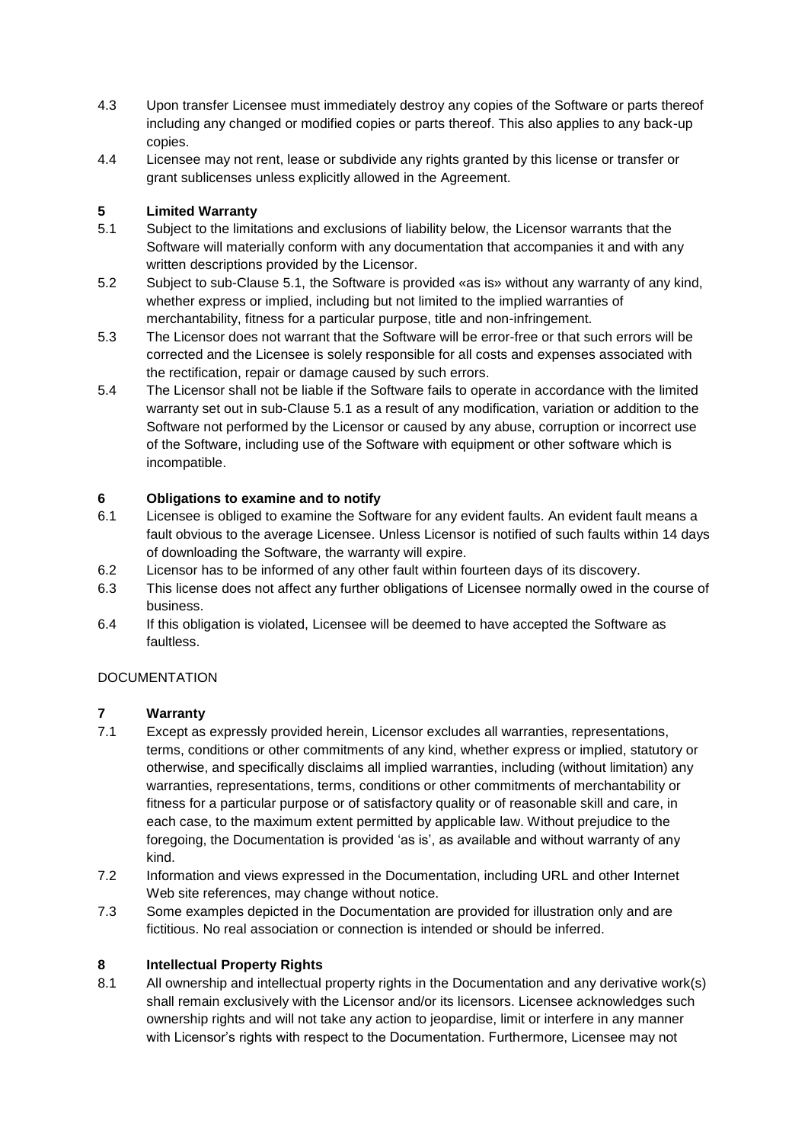- 4.3 Upon transfer Licensee must immediately destroy any copies of the Software or parts thereof including any changed or modified copies or parts thereof. This also applies to any back-up copies.
- 4.4 Licensee may not rent, lease or subdivide any rights granted by this license or transfer or grant sublicenses unless explicitly allowed in the Agreement.

# **5 Limited Warranty**

- 5.1 Subject to the limitations and exclusions of liability below, the Licensor warrants that the Software will materially conform with any documentation that accompanies it and with any written descriptions provided by the Licensor.
- 5.2 Subject to sub-Clause 5.1, the Software is provided «as is» without any warranty of any kind, whether express or implied, including but not limited to the implied warranties of merchantability, fitness for a particular purpose, title and non-infringement.
- 5.3 The Licensor does not warrant that the Software will be error-free or that such errors will be corrected and the Licensee is solely responsible for all costs and expenses associated with the rectification, repair or damage caused by such errors.
- 5.4 The Licensor shall not be liable if the Software fails to operate in accordance with the limited warranty set out in sub-Clause 5.1 as a result of any modification, variation or addition to the Software not performed by the Licensor or caused by any abuse, corruption or incorrect use of the Software, including use of the Software with equipment or other software which is incompatible.

## **6 Obligations to examine and to notify**

- 6.1 Licensee is obliged to examine the Software for any evident faults. An evident fault means a fault obvious to the average Licensee. Unless Licensor is notified of such faults within 14 days of downloading the Software, the warranty will expire.
- 6.2 Licensor has to be informed of any other fault within fourteen days of its discovery.
- 6.3 This license does not affect any further obligations of Licensee normally owed in the course of business.
- 6.4 If this obligation is violated, Licensee will be deemed to have accepted the Software as faultless.

## **DOCUMENTATION**

## **7 Warranty**

- 7.1 Except as expressly provided herein, Licensor excludes all warranties, representations, terms, conditions or other commitments of any kind, whether express or implied, statutory or otherwise, and specifically disclaims all implied warranties, including (without limitation) any warranties, representations, terms, conditions or other commitments of merchantability or fitness for a particular purpose or of satisfactory quality or of reasonable skill and care, in each case, to the maximum extent permitted by applicable law. Without prejudice to the foregoing, the Documentation is provided 'as is', as available and without warranty of any kind.
- 7.2 Information and views expressed in the Documentation, including URL and other Internet Web site references, may change without notice.
- 7.3 Some examples depicted in the Documentation are provided for illustration only and are fictitious. No real association or connection is intended or should be inferred.

## **8 Intellectual Property Rights**

8.1 All ownership and intellectual property rights in the Documentation and any derivative work(s) shall remain exclusively with the Licensor and/or its licensors. Licensee acknowledges such ownership rights and will not take any action to jeopardise, limit or interfere in any manner with Licensor's rights with respect to the Documentation. Furthermore, Licensee may not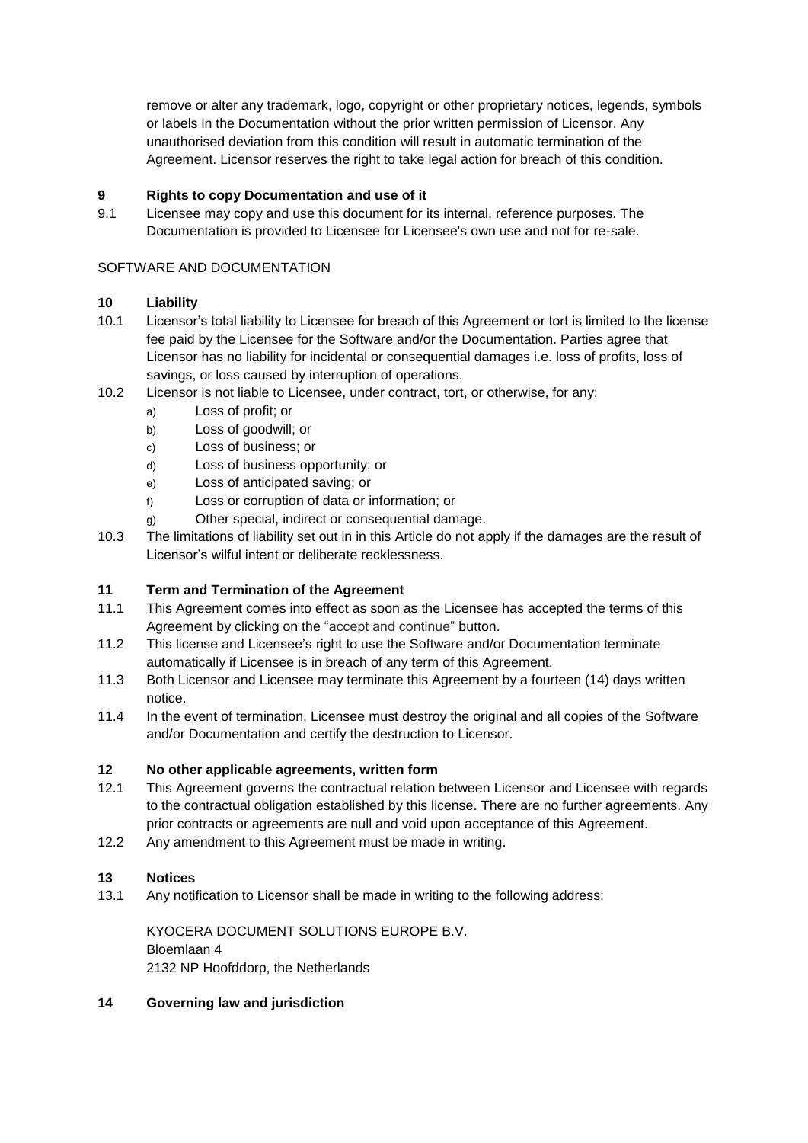remove or alter any trademark, logo, copyright or other proprietary notices, legends, symbols or labels in the Documentation without the prior written permission of Licensor. Any unauthorised deviation from this condition will result in automatic termination of the Agreement. Licensor reserves the right to take legal action for breach of this condition.

## **9 Rights to copy Documentation and use of it**

9.1 Licensee may copy and use this document for its internal, reference purposes. The Documentation is provided to Licensee for Licensee's own use and not for re-sale.

#### SOFTWARE AND DOCUMENTATION

## **10 Liability**

- 10.1 Licensor's total liability to Licensee for breach of this Agreement or tort is limited to the license fee paid by the Licensee for the Software and/or the Documentation. Parties agree that Licensor has no liability for incidental or consequential damages i.e. loss of profits, loss of savings, or loss caused by interruption of operations.
- 10.2 Licensor is not liable to Licensee, under contract, tort, or otherwise, for any:
	- a) Loss of profit; or
	- b) Loss of goodwill; or
	- c) Loss of business; or
	- d) Loss of business opportunity; or
	- e) Loss of anticipated saving; or
	- f) Loss or corruption of data or information; or
	- g) Other special, indirect or consequential damage.
- 10.3 The limitations of liability set out in in this Article do not apply if the damages are the result of Licensor's wilful intent or deliberate recklessness.

## **11 Term and Termination of the Agreement**

- 11.1 This Agreement comes into effect as soon as the Licensee has accepted the terms of this Agreement by clicking on the "accept and continue" button.
- 11.2 This license and Licensee's right to use the Software and/or Documentation terminate automatically if Licensee is in breach of any term of this Agreement.
- 11.3 Both Licensor and Licensee may terminate this Agreement by a fourteen (14) days written notice.
- 11.4 In the event of termination, Licensee must destroy the original and all copies of the Software and/or Documentation and certify the destruction to Licensor.

#### **12 No other applicable agreements, written form**

- 12.1 This Agreement governs the contractual relation between Licensor and Licensee with regards to the contractual obligation established by this license. There are no further agreements. Any prior contracts or agreements are null and void upon acceptance of this Agreement.
- 12.2 Any amendment to this Agreement must be made in writing.

#### **13 Notices**

13.1 Any notification to Licensor shall be made in writing to the following address:

KYOCERA DOCUMENT SOLUTIONS EUROPE B.V. Bloemlaan 4 2132 NP Hoofddorp, the Netherlands

#### **14 Governing law and jurisdiction**